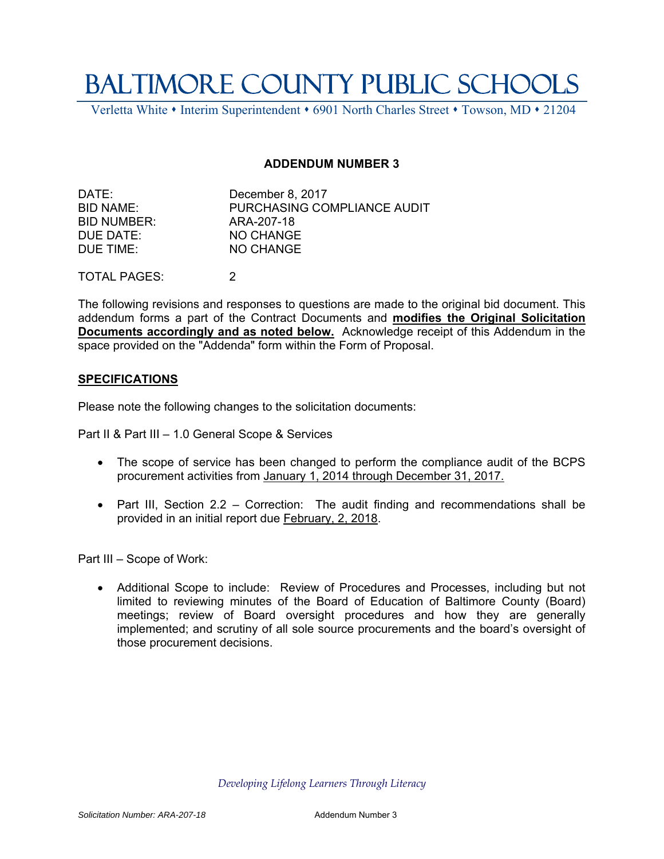## BALTIMORE COUNTY PUBLIC SCHOOLS

Verletta White • Interim Superintendent • 6901 North Charles Street • Towson, MD • 21204

## **ADDENDUM NUMBER 3**

| DATE:       | December 8, 2017            |
|-------------|-----------------------------|
| BID NAME:   | PURCHASING COMPLIANCE AUDIT |
| BID NUMBER: | ARA-207-18                  |
| DUE DATE:   | NO CHANGE                   |
| DUE TIME:   | NO CHANGE                   |
|             |                             |

TOTAL PAGES: 2

The following revisions and responses to questions are made to the original bid document. This addendum forms a part of the Contract Documents and **modifies the Original Solicitation Documents accordingly and as noted below.** Acknowledge receipt of this Addendum in the space provided on the "Addenda" form within the Form of Proposal.

## **SPECIFICATIONS**

Please note the following changes to the solicitation documents:

Part II & Part III – 1.0 General Scope & Services

- The scope of service has been changed to perform the compliance audit of the BCPS procurement activities from January 1, 2014 through December 31, 2017.
- Part III, Section 2.2 Correction: The audit finding and recommendations shall be provided in an initial report due February, 2, 2018.

Part III – Scope of Work:

 Additional Scope to include: Review of Procedures and Processes, including but not limited to reviewing minutes of the Board of Education of Baltimore County (Board) meetings; review of Board oversight procedures and how they are generally implemented; and scrutiny of all sole source procurements and the board's oversight of those procurement decisions.

*Developing Lifelong Learners Through Literacy*